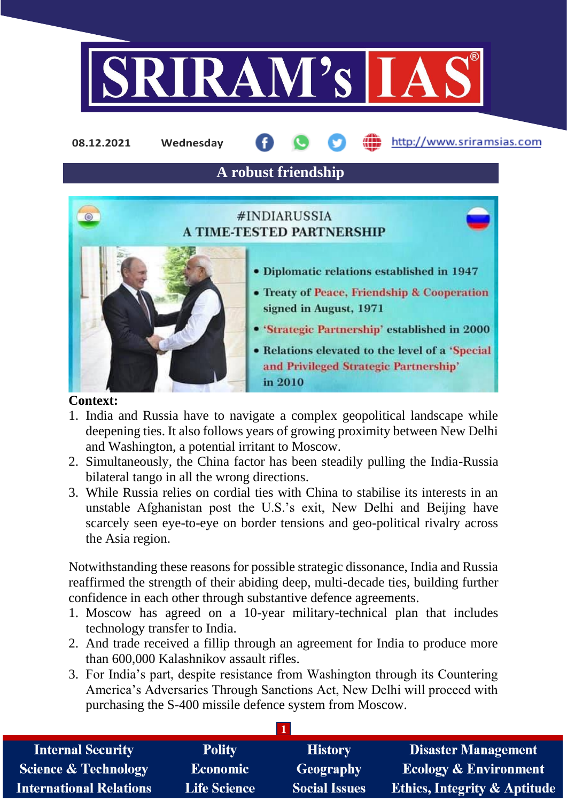

http://www.sriramsias.com **08.12.2021 Wednesday**

**A robust friendship**

# #INDIARUSSIA **A TIME-TESTED PARTNERSHIP**



- · Diplomatic relations established in 1947
- Treaty of Peace, Friendship & Cooperation signed in August, 1971
- 'Strategic Partnership' established in 2000
- Relations elevated to the level of a 'Special and Privileged Strategic Partnership' in 2010

### **Context:**

- 1. India and Russia have to navigate a complex geopolitical landscape while deepening ties. It also follows years of growing proximity between New Delhi and Washington, a potential irritant to Moscow.
- 2. Simultaneously, the China factor has been steadily pulling the India-Russia bilateral tango in all the wrong directions.
- 3. While Russia relies on cordial ties with China to stabilise its interests in an unstable Afghanistan post the U.S.'s exit, New Delhi and Beijing have scarcely seen eye-to-eye on border tensions and geo-political rivalry across the Asia region.

Notwithstanding these reasons for possible strategic dissonance, India and Russia reaffirmed the strength of their abiding deep, multi-decade ties, building further confidence in each other through substantive defence agreements.

- 1. Moscow has agreed on a 10-year military-technical plan that includes technology transfer to India.
- 2. And trade received a fillip through an agreement for India to produce more than 600,000 Kalashnikov assault rifles.
- 3. For India's part, despite resistance from Washington through its Countering America's Adversaries Through Sanctions Act, New Delhi will proceed with purchasing the S-400 missile defence system from Moscow.

| <b>Internal Security</b>        | <b>Polity</b>       | <b>History</b>       | <b>Disaster Management</b>              |
|---------------------------------|---------------------|----------------------|-----------------------------------------|
| <b>Science &amp; Technology</b> | <b>Economic</b>     | <b>Geography</b>     | <b>Ecology &amp; Environment</b>        |
| <b>International Relations</b>  | <b>Life Science</b> | <b>Social Issues</b> | <b>Ethics, Integrity &amp; Aptitude</b> |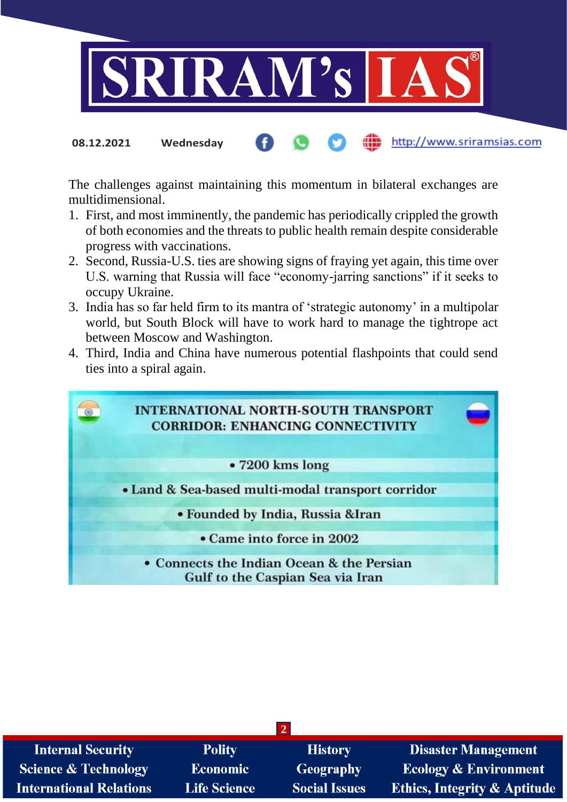

The challenges against maintaining this momentum in bilateral exchanges are multidimensional.

- 1. First, and most imminently, the pandemic has periodically crippled the growth of both economies and the threats to public health remain despite considerable progress with vaccinations.
- 2. Second, Russia-U.S. ties are showing signs of fraying yet again, this time over U.S. warning that Russia will face "economy-jarring sanctions" if it seeks to occupy Ukraine.
- 3. India has so far held firm to its mantra of 'strategic autonomy' in a multipolar world, but South Block will have to work hard to manage the tightrope act between Moscow and Washington.
- 4. Third, India and China have numerous potential flashpoints that could send ties into a spiral again.



| <b>Internal Security</b>        | <b>Polity</b>       | <b>History</b>       | <b>Disaster Management</b>              |
|---------------------------------|---------------------|----------------------|-----------------------------------------|
| <b>Science &amp; Technology</b> | <b>Economic</b>     | Geography            | <b>Ecology &amp; Environment</b>        |
| <b>International Relations</b>  | <b>Life Science</b> | <b>Social Issues</b> | <b>Ethics, Integrity &amp; Aptitude</b> |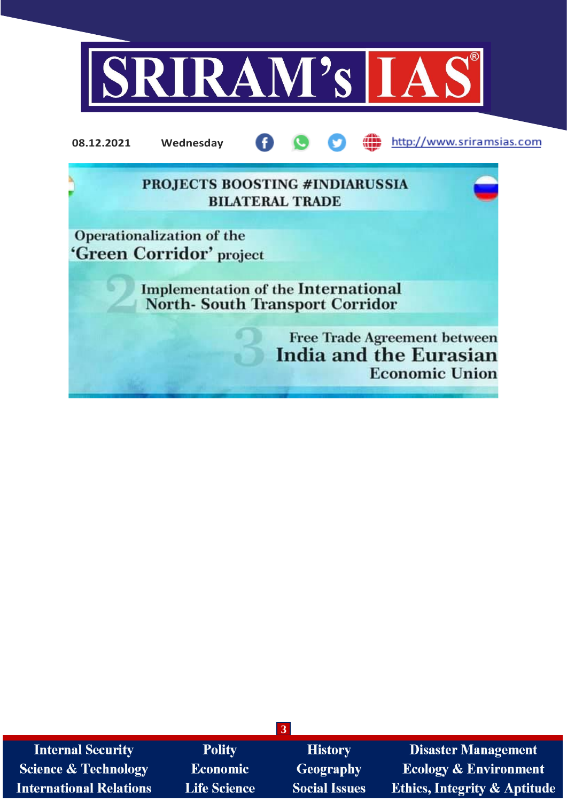

**3 Internal Security** Polity **Disaster Management History** Geography **Science & Technology Economic Ecology & Environment Ethics, Integrity & Aptitude International Relations Life Science Social Issues**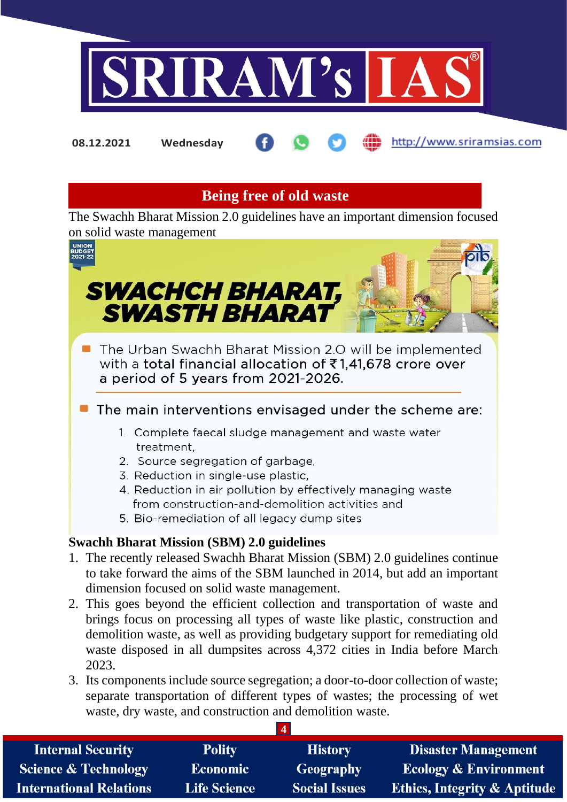

**08.12.2021 Wednesday**

http://www.sriramsias.com

# **Being free of old waste**

The Swachh Bharat Mission 2.0 guidelines have an important dimension focused on solid waste management



- 2. This goes beyond the efficient collection and transportation of waste and brings focus on processing all types of waste like plastic, construction and demolition waste, as well as providing budgetary support for remediating old waste disposed in all dumpsites across 4,372 cities in India before March 2023.
- 3. Its components include source segregation; a door-to-door collection of waste; separate transportation of different types of wastes; the processing of wet waste, dry waste, and construction and demolition waste.

| <b>Internal Security</b>        | <b>Polity</b>       | <b>History</b>       | <b>Disaster Management</b>              |
|---------------------------------|---------------------|----------------------|-----------------------------------------|
| <b>Science &amp; Technology</b> | <b>Economic</b>     | <b>Geography</b>     | <b>Ecology &amp; Environment</b>        |
| International Relations         | <b>Life Science</b> | <b>Social Issues</b> | <b>Ethics, Integrity &amp; Aptitude</b> |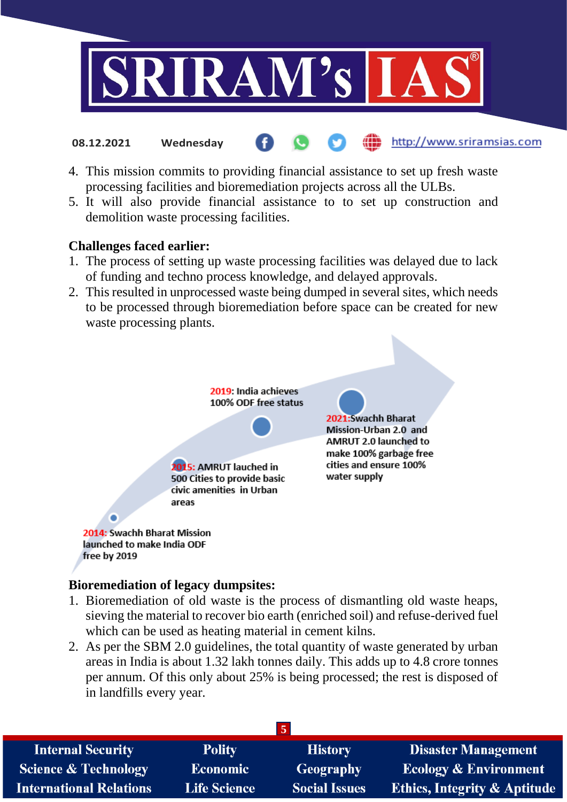

4. This mission commits to providing financial assistance to set up fresh waste processing facilities and bioremediation projects across all the ULBs.

http://www.sriramsias.com

5. It will also provide financial assistance to to set up construction and demolition waste processing facilities.

## **Challenges faced earlier:**

**08.12.2021 Wednesday**

- 1. The process of setting up waste processing facilities was delayed due to lack of funding and techno process knowledge, and delayed approvals.
- 2. This resulted in unprocessed waste being dumped in several sites, which needs to be processed through bioremediation before space can be created for new waste processing plants.



### **Bioremediation of legacy dumpsites:**

- 1. Bioremediation of old waste is the process of dismantling old waste heaps, sieving the material to recover bio earth (enriched soil) and refuse-derived fuel which can be used as heating material in cement kilns.
- 2. As per the SBM 2.0 guidelines, the total quantity of waste generated by urban areas in India is about 1.32 lakh tonnes daily. This adds up to 4.8 crore tonnes per annum. Of this only about 25% is being processed; the rest is disposed of in landfills every year.

| $\mathbf{5}$                    |                     |                      |                                         |
|---------------------------------|---------------------|----------------------|-----------------------------------------|
| <b>Internal Security</b>        | <b>Polity</b>       | <b>History</b>       | <b>Disaster Management</b>              |
| <b>Science &amp; Technology</b> | <b>Economic</b>     | <b>Geography</b>     | <b>Ecology &amp; Environment</b>        |
| <b>International Relations</b>  | <b>Life Science</b> | <b>Social Issues</b> | <b>Ethics, Integrity &amp; Aptitude</b> |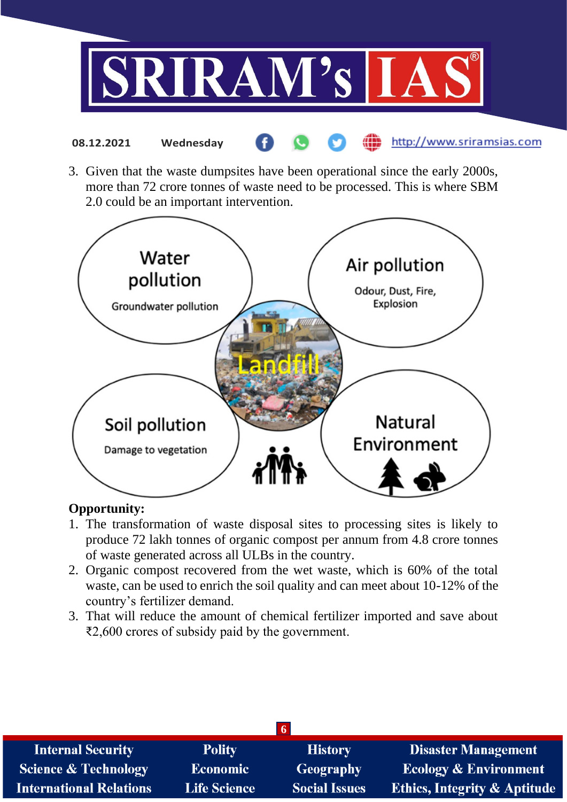

3. Given that the waste dumpsites have been operational since the early 2000s, more than 72 crore tonnes of waste need to be processed. This is where SBM 2.0 could be an important intervention.



# **Opportunity:**

- 1. The transformation of waste disposal sites to processing sites is likely to produce 72 lakh tonnes of organic compost per annum from 4.8 crore tonnes of waste generated across all ULBs in the country.
- 2. Organic compost recovered from the wet waste, which is 60% of the total waste, can be used to enrich the soil quality and can meet about 10-12% of the country's fertilizer demand.
- 3. That will reduce the amount of chemical fertilizer imported and save about ₹2,600 crores of subsidy paid by the government.

| <b>Internal Security</b>        | <b>Polity</b>       | <b>History</b>       | <b>Disaster Management</b>              |
|---------------------------------|---------------------|----------------------|-----------------------------------------|
| <b>Science &amp; Technology</b> | <b>Economic</b>     | <b>Geography</b>     | <b>Ecology &amp; Environment</b>        |
| <b>International Relations</b>  | <b>Life Science</b> | <b>Social Issues</b> | <b>Ethics, Integrity &amp; Aptitude</b> |